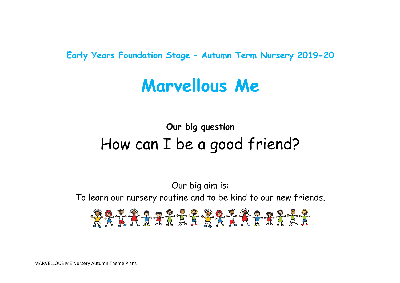**Early Years Foundation Stage – Autumn Term Nursery 2019-20**

# **Marvellous Me**

## **Our big question** How can I be a good friend?

Our big aim is: To learn our nursery routine and to be kind to our new friends.

\*\*\*\*\*\*\*\*\*\*\*\*\*\*\*\*\*\*\*\*\*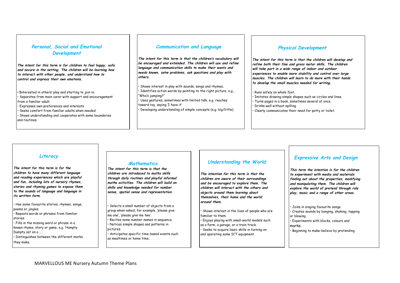#### **Personal, Social and Emotional Development**

**The intent for this term is for children to feel happy, safe and secure in the setting. The children will be learning how to interact with other people, and understand how to control and express their own emotions.**

• **I**nterested in others' play and starting to join in.

- Separates from main carer with support and encouragement from a familiar adult.
- Expresses own preferences and interests
- Seeks comfort from familiar adults when needed.
- Shows understanding and cooperates with some boundaries and routines.

#### **Communication and Language**

**The intent for this term is that the children's vocabulary will be encouraged and extended. The children will use and refine language and communication skills to make their wants and needs known, solve problems, ask questions and play with others.** 

• Shows interest in play with sounds, songs and rhymes**.** 

- Identifies action words by pointing to the right picture, e.g., "Who's jumping?" • Uses gestures, sometimes with limited talk, e.g. reaches
- toward toy, saying 'I have it'
- Developing understanding of simple concepts (e.g. big/little).

#### **Physical Development**

**The intent for this term is that the children will develop and refine both their fine and gross motor skills. The children will take part in a wide range of indoor and outdoor experiences to enable more stability and control over large muscles. The children will learn to do more with their hands to develop the small muscles needed for writing.** 

• Runs safely on whole foot.

• Imitates drawing simple shapes such as circles and lines. • Turns pages in a book, sometimes several at once. • Drinks well without spilling. • Clearly communicates their need for potty or toilet.

#### **Literacy**

**The intent for this term is for the children to have many different language and reading experiences which are playful and fun, including lots of nursery rhymes, stories and rhyming games to expose them to the sounds of language and language in its written form.**

• Has some favourite stories, rhymes, songs, poems or jingles. • Repeats words or phrases from familiar stories. • Fills in the missing word or phrase in a

known rhyme, story or game, e.g. 'Humpty Dumpty sat on a …'. • Distinguishes between the different marks

they make.

#### **Mathematics**

**The intent for this term is that the children are introduced to maths skills through daily routines and playful informal maths activities. The children will build on skills and knowledge needed for number sense, spatial sense and representation.**

Selects a small number of objects from a aroup when asked, for example, 'please give me one', 'please give me two'. • Recites some number names in sequence.

• Notices simple shapes and patterns in pictures.

• Anticipates specific time-based events such as mealtimes or home time.

#### **Understanding the World**

**The intention for this term is that the children are aware of their surroundings and be encouraged to explore them. The children will interact with the others and objects around them learning about themselves, their home and the world around them.**

Shows interest in the lives of people who are familiar to them. • Enjoys playing with small-world models such

as a farm, a garage, or a train track. Seeks to acquire basic skills in turning on and operating some ICT equipment.

#### **Expressive Arts and Design**

**This term the intention is for the children to experiment with media and materials finding out about the properties, modifying and manipulating them. The children will explore the world of pretend through role play, music and a range of other areas.**

• Joins in singing favourite songs. • Creates sounds by banging, shaking, tapping or blowing. • Experiments with blocks, colours and marks. • Beginning to make-believe by pretending.